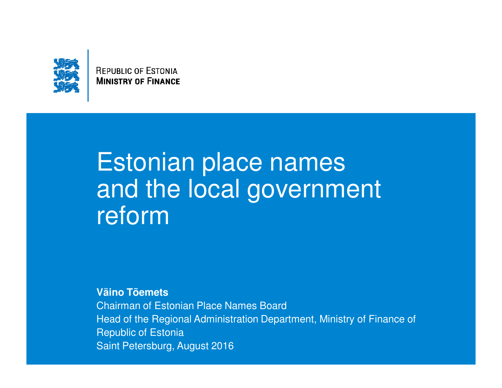

#### **REPUBLIC OF ESTONIA MINISTRY OF FINANCE**

# Estonian place names and the local government reform

**Väino Tõemets**

 Chairman of Estonian Place Names Board Head of the Regional Administration Department, Ministry of Finance of Republic of EstoniaSaint Petersburg, August 2016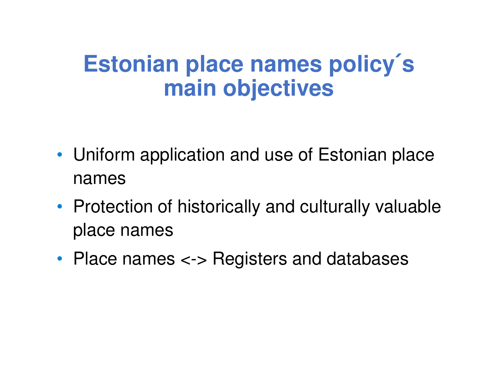#### **Estonian place names policy´smain objectives**

- Uniform application and use of Estonian placenames
- Protection of historically and culturally valuableplace names
- Place names <-> Registers and databases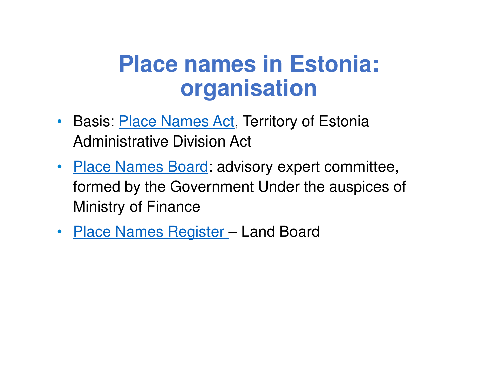### **Place names in Estonia: organisation**

- Basis: *Place Names Act*, Territory of Estonia Administrative Division Act
- Place Names Board: advisory expert committee, formed by the Government Under the auspices of Ministry of Finance
- <u>Place Names Register</u> Land Board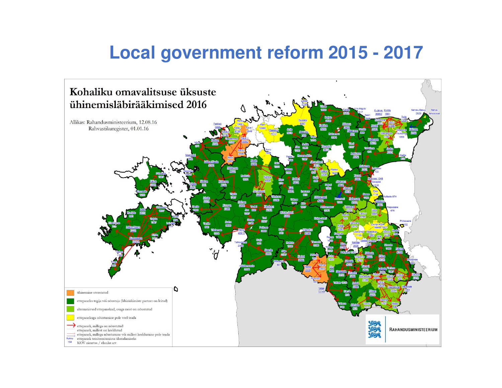#### **Local government reform 2015 - 2017**

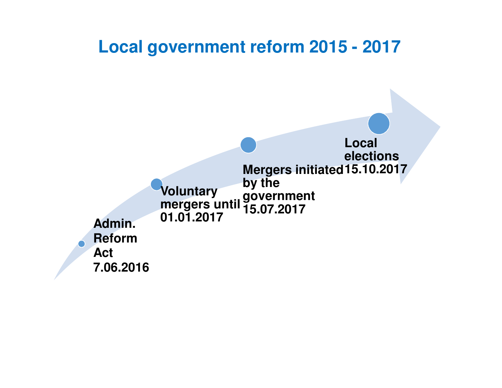#### **Local government reform 2015 - 2017Admin. Reform Act 7.06.2016Voluntary mergers until 01.01.2017Mergers initiated 15.10.2017by the government 15.07.2017Localelections**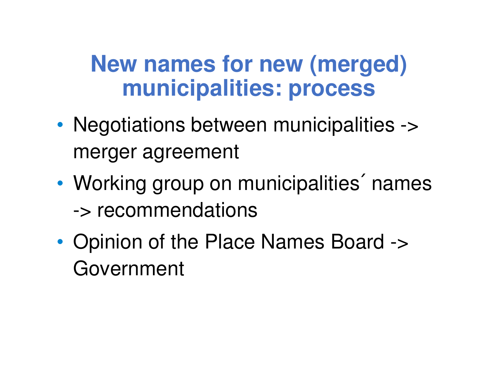### **New names for new (merged) municipalities: process**

- • Negotiations between municipalities -> merger agreement
- • Working group on municipalities´names-> recommendations
- •• Opinion of the Place Names Board -> Government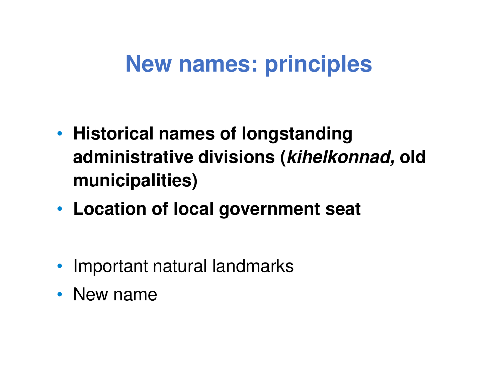## **New names: principles**

- **Historical names of longstanding administrative divisions (kihelkonnad, oldmunicipalities)**
- **Location of local government seat**
- Important natural landmarks
- New name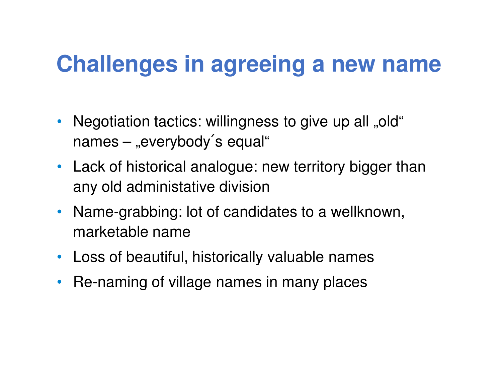## **Challenges in agreeing a new name**

- Negotiation tactics: willingness to give up all "old" names – "everybody´s equal"
- Lack of historical analogue: new territory bigger thanany old administative division
- Name-grabbing: lot of candidates to a wellknown, marketable name
- Loss of beautiful, historically valuable names
- Re-naming of village names in many places